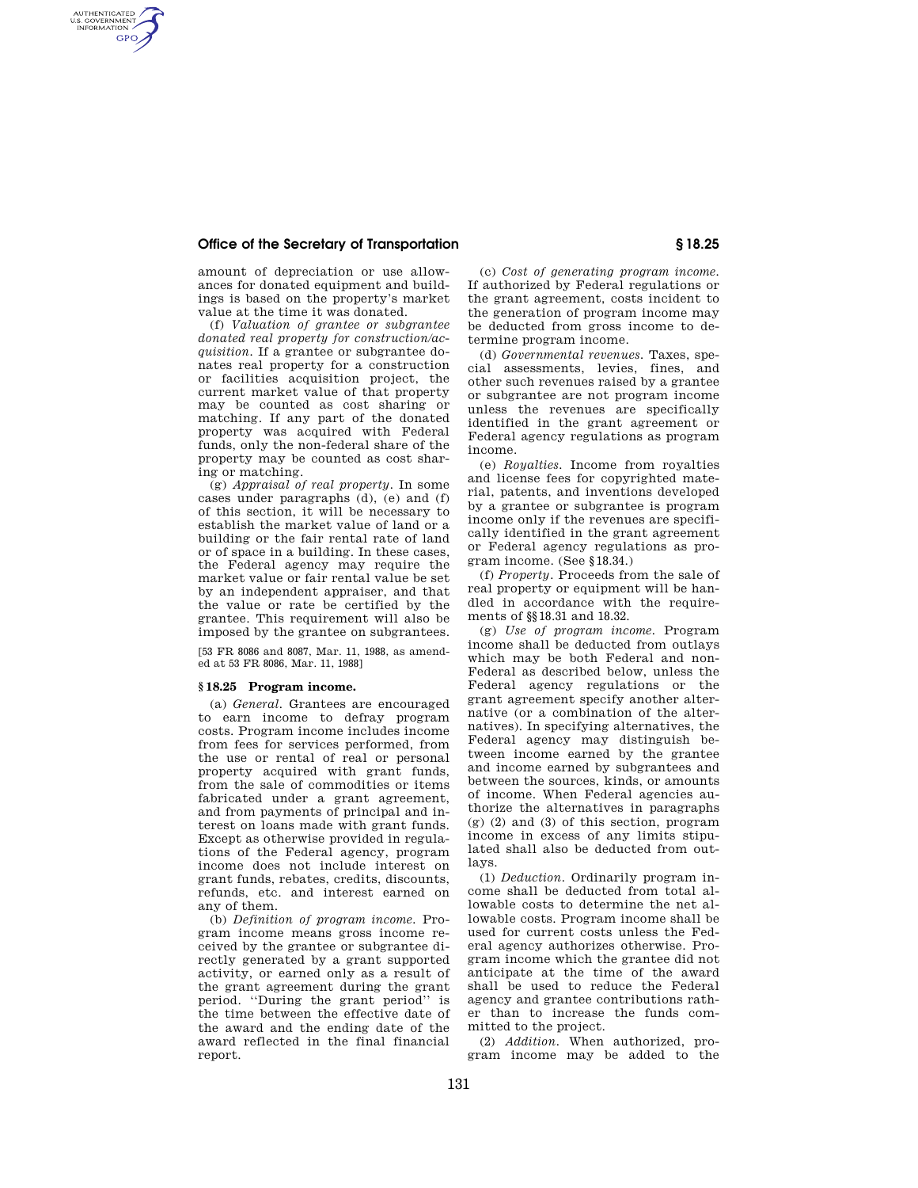## **Office of the Secretary of Transportation § 18.25**

AUTHENTICATED<br>U.S. GOVERNMENT<br>INFORMATION **GPO** 

> amount of depreciation or use allowances for donated equipment and buildings is based on the property's market value at the time it was donated.

> (f) *Valuation of grantee or subgrantee donated real property for construction/acquisition.* If a grantee or subgrantee donates real property for a construction or facilities acquisition project, the current market value of that property may be counted as cost sharing or matching. If any part of the donated property was acquired with Federal funds, only the non-federal share of the property may be counted as cost sharing or matching.

> (g) *Appraisal of real property.* In some cases under paragraphs (d), (e) and (f) of this section, it will be necessary to establish the market value of land or a building or the fair rental rate of land or of space in a building. In these cases, the Federal agency may require the market value or fair rental value be set by an independent appraiser, and that the value or rate be certified by the grantee. This requirement will also be imposed by the grantee on subgrantees.

[53 FR 8086 and 8087, Mar. 11, 1988, as amended at 53 FR 8086, Mar. 11, 1988]

## **§ 18.25 Program income.**

(a) *General.* Grantees are encouraged to earn income to defray program costs. Program income includes income from fees for services performed, from the use or rental of real or personal property acquired with grant funds, from the sale of commodities or items fabricated under a grant agreement, and from payments of principal and interest on loans made with grant funds. Except as otherwise provided in regulations of the Federal agency, program income does not include interest on grant funds, rebates, credits, discounts, refunds, etc. and interest earned on any of them.

(b) *Definition of program income.* Program income means gross income received by the grantee or subgrantee directly generated by a grant supported activity, or earned only as a result of the grant agreement during the grant period. ''During the grant period'' is the time between the effective date of the award and the ending date of the award reflected in the final financial report.

(c) *Cost of generating program income.*  If authorized by Federal regulations or the grant agreement, costs incident to the generation of program income may be deducted from gross income to determine program income.

(d) *Governmental revenues.* Taxes, special assessments, levies, fines, and other such revenues raised by a grantee or subgrantee are not program income unless the revenues are specifically identified in the grant agreement or Federal agency regulations as program income.

(e) *Royalties.* Income from royalties and license fees for copyrighted material, patents, and inventions developed by a grantee or subgrantee is program income only if the revenues are specifically identified in the grant agreement or Federal agency regulations as program income. (See §18.34.)

(f) *Property.* Proceeds from the sale of real property or equipment will be handled in accordance with the requirements of §§18.31 and 18.32.

(g) *Use of program income.* Program income shall be deducted from outlays which may be both Federal and non-Federal as described below, unless the Federal agency regulations or the grant agreement specify another alternative (or a combination of the alternatives). In specifying alternatives, the Federal agency may distinguish between income earned by the grantee and income earned by subgrantees and between the sources, kinds, or amounts of income. When Federal agencies authorize the alternatives in paragraphs (g) (2) and (3) of this section, program income in excess of any limits stipulated shall also be deducted from outlays.

(1) *Deduction.* Ordinarily program income shall be deducted from total allowable costs to determine the net allowable costs. Program income shall be used for current costs unless the Federal agency authorizes otherwise. Program income which the grantee did not anticipate at the time of the award shall be used to reduce the Federal agency and grantee contributions rather than to increase the funds committed to the project.

(2) *Addition.* When authorized, program income may be added to the